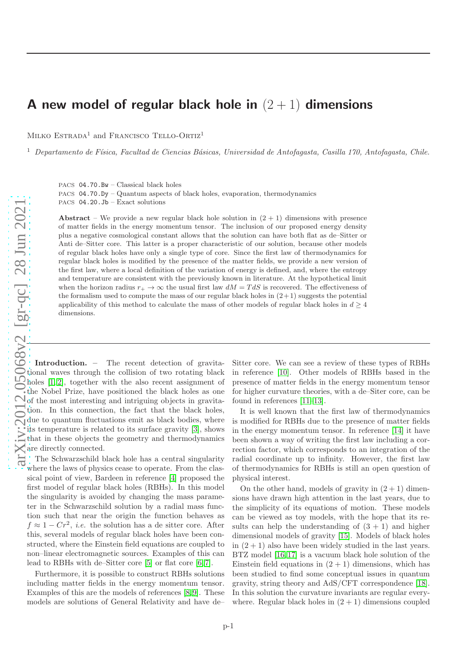## A new model of regular black hole in  $(2 + 1)$  dimensions

MILKO ESTRADA<sup>1</sup> and FRANCISCO TELLO-ORTIZ<sup>1</sup>

 $1$  Departamento de Física, Facultad de Ciencias Básicas, Universidad de Antofagasta, Casilla 170, Antofagasta, Chile.

PACS 04.70.Bw – Classical black holes

PACS 04.70.Dy – Quantum aspects of black holes, evaporation, thermodynamics PACS 04.20.Jb – Exact solutions

Abstract – We provide a new regular black hole solution in  $(2 + 1)$  dimensions with presence of matter fields in the energy momentum tensor. The inclusion of our proposed energy density plus a negative cosmological constant allows that the solution can have both flat as de–Sitter or Anti de–Sitter core. This latter is a proper characteristic of our solution, because other models of regular black holes have only a single type of core. Since the first law of thermodynamics for regular black holes is modified by the presence of the matter fields, we provide a new version of the first law, where a local definition of the variation of energy is defined, and, where the entropy and temperature are consistent with the previously known in literature. At the hypothetical limit when the horizon radius  $r_+ \to \infty$  the usual first law  $dM = T dS$  is recovered. The effectiveness of the formalism used to compute the mass of our regular black holes in  $(2+1)$  suggests the potential applicability of this method to calculate the mass of other models of regular black holes in  $d \geq 4$ dimensions.

Introduction. – The recent detection of gravitational waves through the collision of two rotating black holes [\[1,](#page-4-0) [2\]](#page-4-1), together with the also recent assignment of the Nobel Prize, have positioned the black holes as one of the most interesting and intriguing objects in gravitation. In this connection, the fact that the black holes, due to quantum fluctuations emit as black bodies, where its temperature is related to its surface gravity [\[3\]](#page-4-2), shows that in these objects the geometry and thermodynamics are directly connected.

The Schwarzschild black hole has a central singularity where the laws of physics cease to operate. From the classical point of view, Bardeen in reference [\[4\]](#page-4-3) proposed the first model of regular black holes (RBHs). In this model the singularity is avoided by changing the mass parameter in the Schwarzschild solution by a radial mass function such that near the origin the function behaves as  $f \approx 1 - Cr^2$ , *i.e.* the solution has a de sitter core. After this, several models of regular black holes have been constructed, where the Einstein field equations are coupled to non–linear electromagnetic sources. Examples of this can lead to RBHs with de–Sitter core [\[5\]](#page-4-4) or flat core [\[6,](#page-4-5) [7\]](#page-4-6).

Furthermore, it is possible to construct RBHs solutions including matter fields in the energy momentum tensor. Examples of this are the models of references [\[8,](#page-4-7) [9\]](#page-4-8). These models are solutions of General Relativity and have de–

Sitter core. We can see a review of these types of RBHs in reference [\[10\]](#page-4-9). Other models of RBHs based in the presence of matter fields in the energy momentum tensor for higher curvature theories, with a de–Siter core, can be found in references [\[11](#page-4-10)[–13\]](#page-5-0).

It is well known that the first law of thermodynamics is modified for RBHs due to the presence of matter fields in the energy momentum tensor. In reference [\[14\]](#page-5-1) it have been shown a way of writing the first law including a correction factor, which corresponds to an integration of the radial coordinate up to infinity. However, the first law of thermodynamics for RBHs is still an open question of physical interest.

On the other hand, models of gravity in  $(2 + 1)$  dimensions have drawn high attention in the last years, due to the simplicity of its equations of motion. These models can be viewed as toy models, with the hope that its results can help the understanding of  $(3 + 1)$  and higher dimensional models of gravity [\[15\]](#page-5-2). Models of black holes in  $(2 + 1)$  also have been widely studied in the last years. BTZ model [\[16,](#page-5-3) [17\]](#page-5-4) is a vacuum black hole solution of the Einstein field equations in  $(2 + 1)$  dimensions, which has been studied to find some conceptual issues in quantum gravity, string theory and AdS/CFT correspondence [\[18\]](#page-5-5). In this solution the curvature invariants are regular everywhere. Regular black holes in  $(2 + 1)$  dimensions coupled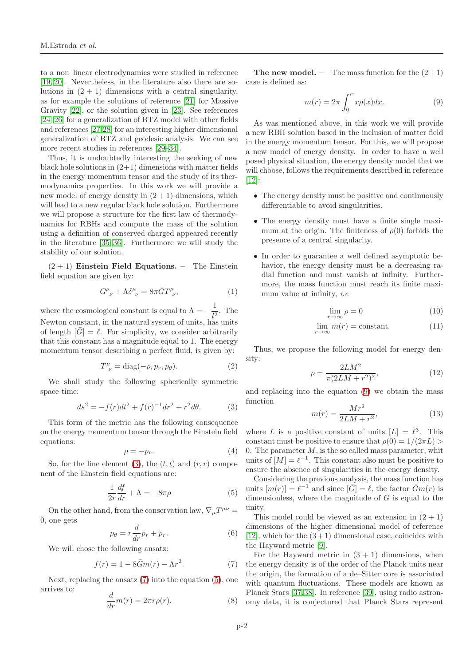to a non–linear electrodynamics were studied in reference [\[19,](#page-5-6) [20\]](#page-5-7). Nevertheless, in the literature also there are solutions in  $(2 + 1)$  dimensions with a central singularity, as for example the solutions of reference [\[21\]](#page-5-8) for Massive Gravity [\[22\]](#page-5-9), or the solution given in [\[23\]](#page-5-10). See references [\[24–](#page-5-11)[26\]](#page-5-12) for a generalization of BTZ model with other fields and references [\[27,](#page-5-13)[28\]](#page-5-14) for an interesting higher dimensional generalization of BTZ and geodesic analysis. We can see more recent studies in references [\[29](#page-5-15)[–34\]](#page-5-16).

Thus, it is undoubtedly interesting the seeking of new black hole solutions in  $(2+1)$  dimensions with matter fields in the energy momentum tensor and the study of its thermodynamics properties. In this work we will provide a new model of energy density in  $(2 + 1)$  dimensions, which will lead to a new regular black hole solution. Furthermore we will propose a structure for the first law of thermodynamics for RBHs and compute the mass of the solution using a definition of conserved charged appeared recently in the literature [\[35,](#page-5-17) [36\]](#page-5-18). Furthermore we will study the stability of our solution.

 $(2 + 1)$  Einstein Field Equations. – The Einstein field equation are given by:

$$
G^{\mu}_{\ \nu}+\Lambda\delta^{\mu}_{\ \nu}=8\pi\bar{G}T^{\mu}_{\ \nu}, \eqno{(1)}
$$

where the cosmological constant is equal to  $\Lambda = -\frac{1}{l^2}$  $\frac{1}{l^2}$ . The Newton constant, in the natural system of units, has units of length  $|\overline{G}| = \ell$ . For simplicity, we consider arbitrarily that this constant has a magnitude equal to 1. The energy momentum tensor describing a perfect fluid, is given by:

$$
T^{\mu}_{\ \nu} = \text{diag}(-\rho, p_r, p_\theta). \tag{2}
$$

We shall study the following spherically symmetric space time:

<span id="page-1-0"></span>
$$
ds^{2} = -f(r)dt^{2} + f(r)^{-1}dr^{2} + r^{2}d\theta.
$$
 (3)

This form of the metric has the following consequence on the energy momentum tensor through the Einstein field equations:

$$
\rho = -p_r. \tag{4}
$$

So, for the line element [\(3\)](#page-1-0), the  $(t, t)$  and  $(r, r)$  component of the Einstein field equations are:

<span id="page-1-2"></span>
$$
\frac{1}{2r}\frac{df}{dr} + \Lambda = -8\pi\rho\tag{5}
$$

On the other hand, from the conservation law,  $\nabla _{\mu}T^{\mu \nu}$  = 0, one gets

$$
p_{\theta} = r \frac{d}{dr} p_r + p_r. \tag{6}
$$

We will chose the following ansatz:

<span id="page-1-1"></span>
$$
f(r) = 1 - 8\bar{G}m(r) - \Lambda r^2.
$$
 (7)

Next, replacing the ansatz [\(7\)](#page-1-1) into the equation [\(5\)](#page-1-2), one arrives to:

$$
\frac{d}{dr}m(r) = 2\pi r\rho(r). \tag{8}
$$

**The new model.** – The mass function for the  $(2+1)$ case is defined as:

<span id="page-1-3"></span>
$$
m(r) = 2\pi \int_0^r x\rho(x)dx.
$$
 (9)

As was mentioned above, in this work we will provide a new RBH solution based in the inclusion of matter field in the energy momentum tensor. For this, we will propose a new model of energy density. In order to have a well posed physical situation, the energy density model that we will choose, follows the requirements described in reference [\[12\]](#page-5-19):

- The energy density must be positive and continuously differentiable to avoid singularities.
- The energy density must have a finite single maximum at the origin. The finiteness of  $\rho(0)$  forbids the presence of a central singularity.
- In order to guarantee a well defined asymptotic behavior, the energy density must be a decreasing radial function and must vanish at infinity. Furthermore, the mass function must reach its finite maximum value at infinity,  $i.e$

<span id="page-1-4"></span>
$$
\lim_{r \to \infty} \rho = 0 \tag{10}
$$

$$
\lim_{r \to \infty} m(r) = \text{constant.} \tag{11}
$$

Thus, we propose the following model for energy density:

$$
\rho = \frac{2LM^2}{\pi (2LM + r^2)^2},\tag{12}
$$

and replacing into the equation [\(9\)](#page-1-3) we obtain the mass function

$$
m(r) = \frac{Mr^2}{2LM + r^2},
$$
\n(13)

where L is a positive constant of units  $[L] = \ell^3$ . This constant must be positive to ensure that  $\rho(0) = 1/(2\pi L)$ 0. The parameter  $M$ , is the so called mass parameter, whit units of  $[M] = \ell^{-1}$ . This constant also must be positive to ensure the absence of singularities in the energy density.

Considering the previous analysis, the mass function has units  $[m(r)] = \ell^{-1}$  and since  $[\bar{G}] = \ell$ , the factor  $\bar{G}m(r)$  is dimensionless, where the magnitude of  $\bar{G}$  is equal to the unity.

This model could be viewed as an extension in  $(2 + 1)$ dimensions of the higher dimensional model of reference [\[12\]](#page-5-19), which for the  $(3+1)$  dimensional case, coincides with the Hayward metric [\[9\]](#page-4-8).

For the Hayward metric in  $(3 + 1)$  dimensions, when the energy density is of the order of the Planck units near the origin, the formation of a de–Sitter core is associated with quantum fluctuations. These models are known as Planck Stars [\[37,](#page-5-20)[38\]](#page-5-21). In reference [\[39\]](#page-5-22), using radio astronomy data, it is conjectured that Planck Stars represent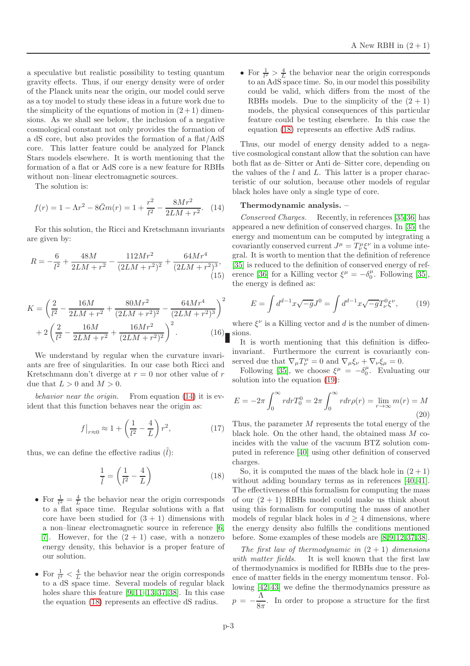a speculative but realistic possibility to testing quantum gravity effects. Thus, if our energy density were of order of the Planck units near the origin, our model could serve as a toy model to study these ideas in a future work due to the simplicity of the equations of motion in  $(2+1)$  dimensions. As we shall see below, the inclusion of a negative cosmological constant not only provides the formation of a dS core, but also provides the formation of a flat/AdS core. This latter feature could be analyzed for Planck Stars models elsewhere. It is worth mentioning that the formation of a flat or AdS core is a new feature for RBHs without non–linear electromagnetic sources.

The solution is:

<span id="page-2-0"></span>
$$
f(r) = 1 - \Lambda r^2 - 8\bar{G}m(r) = 1 + \frac{r^2}{l^2} - \frac{8Mr^2}{2LM + r^2}.
$$
 (14)

For this solution, the Ricci and Kretschmann invariants are given by:

$$
R = -\frac{6}{l^2} + \frac{48M}{2LM + r^2} - \frac{112Mr^2}{(2LM + r^2)^2} + \frac{64Mr^4}{(2LM + r^2)^3},\tag{15}
$$

$$
K = \left(\frac{2}{l^2} - \frac{16M}{2LM + r^2} + \frac{80Mr^2}{(2LM + r^2)^2} - \frac{64Mr^4}{(2LM + r^2)^3}\right)^2
$$

$$
+ 2\left(\frac{2}{l^2} - \frac{16M}{2LM + r^2} + \frac{16Mr^2}{(2LM + r^2)^2}\right)^2.
$$
(16)

We understand by regular when the curvature invariants are free of singularities. In our case both Ricci and Kretschmann don't diverge at  $r = 0$  nor other value of r due that  $L > 0$  and  $M > 0$ .

behavior near the origin. From equation  $(14)$  it is evident that this function behaves near the origin as:

$$
f|_{r\approx 0} \approx 1 + \left(\frac{1}{l^2} - \frac{4}{L}\right)r^2,\tag{17}
$$

thus, we can define the effective radius  $(\tilde{l})$ :

<span id="page-2-1"></span>
$$
\frac{1}{\tilde{l}} = \left(\frac{1}{l^2} - \frac{4}{L}\right) \tag{18}
$$

- For  $\frac{1}{l^2} = \frac{4}{L}$  the behavior near the origin corresponds to a flat space time. Regular solutions with a flat core have been studied for  $(3 + 1)$  dimensions with a non–linear electromagnetic source in reference [\[6,](#page-4-5) 7. However, for the  $(2 + 1)$  case, with a nonzero energy density, this behavior is a proper feature of our solution.
- For  $\frac{1}{l^2} < \frac{4}{L}$  $\frac{4}{L}$  the behavior near the origin corresponds to a dS space time. Several models of regular black holes share this feature  $[9, 11-13, 37, 38]$  $[9, 11-13, 37, 38]$  $[9, 11-13, 37, 38]$  $[9, 11-13, 37, 38]$ . In this case the equation [\(18\)](#page-2-1) represents an effective dS radius.

• For  $\frac{1}{l^2} > \frac{4}{L}$  $\frac{4}{L}$  the behavior near the origin corresponds to an AdS space time. So, in our model this possibility could be valid, which differs from the most of the RBHs models. Due to the simplicity of the  $(2 + 1)$ models, the physical consequences of this particular feature could be testing elsewhere. In this case the equation [\(18\)](#page-2-1) represents an effective AdS radius.

Thus, our model of energy density added to a negative cosmological constant allow that the solution can have both flat as de–Sitter or Anti de–Sitter core, depending on the values of the  $l$  and  $L$ . This latter is a proper characteristic of our solution, because other models of regular black holes have only a single type of core.

## Thermodynamic analysis. –

Conserved Charges. Recently, in references [\[35,](#page-5-17)[36\]](#page-5-18) has appeared a new definition of conserved charges. In [\[35\]](#page-5-17) the energy and momentum can be computed by integrating a covariantly conserved current  $J^{\mu} = T^{\mu}_{\nu} \xi^{\nu}$  in a volume integral. It is worth to mention that the definition of reference [\[35\]](#page-5-17) is reduced to the definition of conserved energy of ref-erence [\[36\]](#page-5-18) for a Killing vector  $\xi^{\mu} = -\delta^{\mu}_{0}$ . Following [\[35\]](#page-5-17), the energy is defined as:

<span id="page-2-2"></span>
$$
E = \int d^{d-1}x \sqrt{-g} J^0 = \int d^{d-1}x \sqrt{-g} T^0_\nu \xi^\nu, \qquad (19)
$$

where  $\xi^{\nu}$  is a Killing vector and d is the number of dimensions.

It is worth mentioning that this definition is diffeoinvariant. Furthermore the current is covariantly conserved due that  $\nabla_{\mu}T^{\mu}_{\nu}=0$  and  $\nabla_{\mu}\xi_{\nu}+\nabla_{\nu}\xi_{\mu}=0$ .

Following [\[35\]](#page-5-17), we choose  $\xi^{\mu} = -\delta^{\mu}_{0}$ . Evaluating our solution into the equation [\(19\)](#page-2-2):

$$
E = -2\pi \int_0^\infty r dr T_0^0 = 2\pi \int_0^\infty r dr \rho(r) = \lim_{r \to \infty} m(r) = M
$$
\n(20)

Thus, the parameter  $M$  represents the total energy of the black hole. On the other hand, the obtained mass  $M$  coincides with the value of the vacuum BTZ solution computed in reference [\[40\]](#page-5-23) using other definition of conserved charges.

So, it is computed the mass of the black hole in  $(2 + 1)$ without adding boundary terms as in references [\[40,](#page-5-23) [41\]](#page-5-24). The effectiveness of this formalism for computing the mass of our  $(2 + 1)$  RBHs model could make us think about using this formalism for computing the mass of another models of regular black holes in  $d \geq 4$  dimensions, where the energy density also fulfills the conditions mentioned before. Some examples of these models are [\[8,](#page-4-7)[9,](#page-4-8)[12,](#page-5-19)[37,](#page-5-20)[38\]](#page-5-21).

The first law of thermodynamic in  $(2 + 1)$  dimensions with matter fields. It is well known that the first law of thermodynamics is modified for RBHs due to the presence of matter fields in the energy momentum tensor. Following [\[42,](#page-5-25) [43\]](#page-5-26) we define the thermodynamics pressure as  $p = -\frac{\Lambda}{8\pi}$  $\frac{1}{8\pi}$ . In order to propose a structure for the first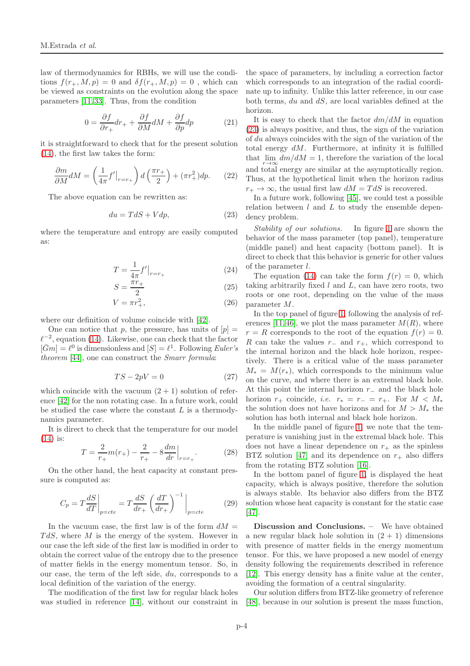law of thermodynamics for RBHs, we will use the conditions  $f(r_+, M, p) = 0$  and  $\delta f(r_+, M, p) = 0$ , which can be viewed as constraints on the evolution along the space parameters [\[11,](#page-4-10) [33\]](#page-5-27). Thus, from the condition

$$
0 = \frac{\partial f}{\partial r_+} dr_+ + \frac{\partial f}{\partial M} dM + \frac{\partial f}{\partial p} dp \tag{21}
$$

it is straightforward to check that for the present solution [\(14\)](#page-2-0), the first law takes the form:

$$
\frac{\partial m}{\partial M} dM = \left(\frac{1}{4\pi} f'|_{r=r_+}\right) d\left(\frac{\pi r_+}{2}\right) + (\pi r_+^2) dp. \tag{22}
$$

The above equation can be rewritten as:

<span id="page-3-0"></span>
$$
du = TdS + Vdp,\t\t(23)
$$

where the temperature and entropy are easily computed as:

$$
T = \frac{1}{4\pi} f'|_{r=r_+}
$$
 (24)

$$
S = \frac{\pi r_+}{2} \tag{25}
$$

$$
V = \pi r_+^2,\tag{26}
$$

where our definition of volume coincide with [\[42\]](#page-5-25).

One can notice that p, the pressure, has units of  $[p] =$  $\ell^{-2}$ , equation [\(14\)](#page-2-0). Likewise, one can check that the factor  $[\bar{G}m] = \ell^0$  is dimensionless and  $[S] = \ell^1$ . Following *Euler's* theorem [\[44\]](#page-5-28), one can construct the *Smarr formula*:

$$
TS - 2pV = 0 \tag{27}
$$

which coincide with the vacuum  $(2 + 1)$  solution of reference [\[42\]](#page-5-25) for the non rotating case. In a future work, could be studied the case where the constant  $L$  is a thermodynamics parameter.

It is direct to check that the temperature for our model [\(14\)](#page-2-0) is:

$$
T = \frac{2}{r_+}m(r_+) - \frac{2}{r_+} - 8\frac{dm}{dr}\Big|_{r=r_+}.\tag{28}
$$

On the other hand, the heat capacity at constant pressure is computed as:

$$
C_p = T \frac{dS}{dT} \bigg|_{p = cte} = T \frac{dS}{dr_+} \left(\frac{dT}{dr_+}\right)^{-1} \bigg|_{p = cte}
$$
 (29)

In the vacuum case, the first law is of the form  $dM =$  $TdS$ , where M is the energy of the system. However in our case the left side of the first law is modified in order to obtain the correct value of the entropy due to the presence of matter fields in the energy momentum tensor. So, in our case, the term of the left side, du, corresponds to a local definition of the variation of the energy.

The modification of the first law for regular black holes was studied in reference [\[14\]](#page-5-1), without our constraint in

the space of parameters, by including a correction factor which corresponds to an integration of the radial coordinate up to infinity. Unlike this latter reference, in our case both terms,  $du$  and  $dS$ , are local variables defined at the horizon.

It is easy to check that the factor  $dm/dM$  in equation [\(23\)](#page-3-0) is always positive, and thus, the sign of the variation of du always coincides with the sign of the variation of the total energy  $dM$ . Furthermore, at infinity it is fulfilled that  $\lim_{r \to \infty} dm/dM = 1$ , therefore the variation of the local and total energy are similar at the asymptotically region. Thus, at the hypothetical limit when the horizon radius  $r_{+} \rightarrow \infty$ , the usual first law  $dM = T dS$  is recovered.

In a future work, following [\[45\]](#page-5-29), we could test a possible relation between  $l$  and  $L$  to study the ensemble dependency problem.

Stability of our solutions. In figure [1](#page-4-11) are shown the behavior of the mass parameter (top panel), temperature (middle panel) and heat capacity (bottom panel). It is direct to check that this behavior is generic for other values of the parameter l.

The equation [\(14\)](#page-2-0) can take the form  $f(r) = 0$ , which taking arbitrarily fixed  $l$  and  $L$ , can have zero roots, two roots or one root, depending on the value of the mass parameter M.

In the top panel of figure [1,](#page-4-11) following the analysis of ref-erences [\[11,](#page-4-10) [46\]](#page-5-30), we plot the mass parameter  $M(R)$ , where  $r = R$  corresponds to the root of the equation  $f(r) = 0$ . R can take the values  $r_-\,$  and  $r_+\,$ , which correspond to the internal horizon and the black hole horizon, respectively. There is a critical value of the mass parameter  $M_* = M(r_*)$ , which corresponds to the minimum value on the curve, and where there is an extremal black hole. At this point the internal horizon  $r_-\,$  and the black hole horizon  $r_+$  coincide, *i.e.*  $r_* = r_- = r_+$ . For  $M < M_*$ the solution does not have horizons and for  $M > M_*$  the solution has both internal and black hole horizon.

In the middle panel of figure [1,](#page-4-11) we note that the temperature is vanishing just in the extremal black hole. This does not have a linear dependence on  $r_{+}$  as the spinless BTZ solution [\[47\]](#page-5-31) and its dependence on  $r_{+}$  also differs from the rotating BTZ solution [\[16\]](#page-5-3).

In the bottom panel of figure [1,](#page-4-11) is displayed the heat capacity, which is always positive, therefore the solution is always stable. Its behavior also differs from the BTZ solution whose heat capacity is constant for the static case [\[47\]](#page-5-31).

Discussion and Conclusions. – We have obtained a new regular black hole solution in  $(2 + 1)$  dimensions with presence of matter fields in the energy momentum tensor. For this, we have proposed a new model of energy density following the requirements described in reference [\[12\]](#page-5-19). This energy density has a finite value at the center, avoiding the formation of a central singularity.

Our solution differs from BTZ-like geometry of reference [\[48\]](#page-5-32), because in our solution is present the mass function,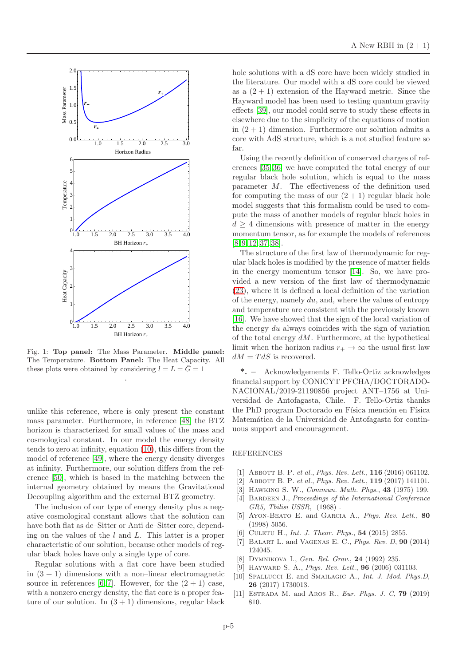

<span id="page-4-11"></span>Fig. 1: Top panel: The Mass Parameter. Middle panel: The Temperature. Bottom Panel: The Heat Capacity. All these plots were obtained by considering  $l = L = \overline{G} = 1$ 

.

unlike this reference, where is only present the constant mass parameter. Furthermore, in reference [\[48\]](#page-5-32) the BTZ horizon is characterized for small values of the mass and cosmological constant. In our model the energy density tends to zero at infinity, equation [\(10\)](#page-1-4), this differs from the model of reference [\[49\]](#page-5-33), where the energy density diverges at infinity. Furthermore, our solution differs from the reference [\[50\]](#page-5-34), which is based in the matching between the internal geometry obtained by means the Gravitational Decoupling algorithm and the external BTZ geometry.

The inclusion of our type of energy density plus a negative cosmological constant allows that the solution can have both flat as de–Sitter or Anti de–Sitter core, depending on the values of the  $l$  and  $L$ . This latter is a proper characteristic of our solution, because other models of regular black holes have only a single type of core.

Regular solutions with a flat core have been studied in  $(3 + 1)$  dimensions with a non-linear electromagnetic source in references [\[6,](#page-4-5)7]. However, for the  $(2 + 1)$  case, with a nonzero energy density, the flat core is a proper feature of our solution. In  $(3 + 1)$  dimensions, regular black hole solutions with a dS core have been widely studied in the literature. Our model with a dS core could be viewed as a  $(2 + 1)$  extension of the Hayward metric. Since the Hayward model has been used to testing quantum gravity effects [\[39\]](#page-5-22), our model could serve to study these effects in elsewhere due to the simplicity of the equations of motion in  $(2 + 1)$  dimension. Furthermore our solution admits a core with AdS structure, which is a not studied feature so far.

Using the recently definition of conserved charges of references [\[35,](#page-5-17) [36\]](#page-5-18) we have computed the total energy of our regular black hole solution, which is equal to the mass parameter M. The effectiveness of the definition used for computing the mass of our  $(2 + 1)$  regular black hole model suggests that this formalism could be used to compute the mass of another models of regular black holes in  $d > 4$  dimensions with presence of matter in the energy momentum tensor, as for example the models of references [\[8,](#page-4-7) [9,](#page-4-8) [12,](#page-5-19) [37,](#page-5-20) [38\]](#page-5-21).

The structure of the first law of thermodynamic for regular black holes is modified by the presence of matter fields in the energy momentum tensor [\[14\]](#page-5-1). So, we have provided a new version of the first law of thermodynamic [\(23\)](#page-3-0), where it is defined a local definition of the variation of the energy, namely  $du$ , and, where the values of entropy and temperature are consistent with the previously known [\[16\]](#page-5-3). We have showed that the sign of the local variation of the energy  $du$  always coincides with the sign of variation of the total energy  $dM$ . Furthermore, at the hypothetical limit when the horizon radius  $r_+ \to \infty$  the usual first law  $dM = T dS$  is recovered.

\*. – Acknowledgements F. Tello-Ortiz acknowledges financial support by CONICYT PFCHA/DOCTORADO-NACIONAL/2019-21190856 project ANT–1756 at Universidad de Antofagasta, Chile. F. Tello-Ortiz thanks the PhD program Doctorado en Física mención en Física Matemática de la Universidad de Antofagasta for continuous support and encouragement.

## REFERENCES

- <span id="page-4-1"></span><span id="page-4-0"></span>[1] ABBOTT B. P. et al., *Phys. Rev. Lett.*, **116** (2016) 061102.
- <span id="page-4-2"></span>[2] ABBOTT B. P. et al., *Phys. Rev. Lett.*, **119** (2017) 141101.
- <span id="page-4-3"></span>[3] Hawking S. W., Commun. Math. Phys., 43 (1975) 199.
- [4] BARDEEN J., Proceedings of the International Conference GR5, Tbilisi USSR, (1968) .
- <span id="page-4-4"></span>[5] AYON-BEATO E. and GARCIA A., Phys. Rev. Lett., 80 (1998) 5056.
- <span id="page-4-6"></span><span id="page-4-5"></span>[6] CULETU H., *Int. J. Theor. Phys.*, **54** (2015) 2855.
- [7] BALART L. and VAGENAS E. C., *Phys. Rev. D.* **90** (2014) 124045.
- <span id="page-4-8"></span><span id="page-4-7"></span>[8] Dymnikova I., Gen. Rel. Grav., 24 (1992) 235.
- <span id="page-4-9"></span>[9] HAYWARD S. A., *Phys. Rev. Lett.*, **96** (2006) 031103.
- [10] SPALLUCCI E. and SMAILAGIC A., Int. J. Mod. Phys.D, 26 (2017) 1730013.
- <span id="page-4-10"></span>[11] ESTRADA M. and AROS R., *Eur. Phys. J. C*, **79** (2019) 810.